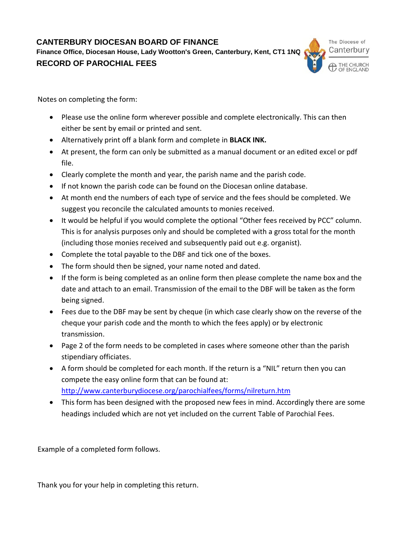**CANTERBURY DIOCESAN BOARD OF FINANCE**

**Finance Office, Diocesan House, Lady Wootton's Green, Canterbury, Kent, CT1 1NQ RECORD OF PAROCHIAL FEES**



Notes on completing the form:

- Please use the online form wherever possible and complete electronically. This can then either be sent by email or printed and sent.
- Alternatively print off a blank form and complete in **BLACK INK.**
- At present, the form can only be submitted as a manual document or an edited excel or pdf file.
- Clearly complete the month and year, the parish name and the parish code.
- If not known the parish code can be found on the Diocesan online database.
- At month end the numbers of each type of service and the fees should be completed. We suggest you reconcile the calculated amounts to monies received.
- It would be helpful if you would complete the optional "Other fees received by PCC" column. This is for analysis purposes only and should be completed with a gross total for the month (including those monies received and subsequently paid out e.g. organist).
- Complete the total payable to the DBF and tick one of the boxes.
- The form should then be signed, your name noted and dated.
- If the form is being completed as an online form then please complete the name box and the date and attach to an email. Transmission of the email to the DBF will be taken as the form being signed.
- Fees due to the DBF may be sent by cheque (in which case clearly show on the reverse of the cheque your parish code and the month to which the fees apply) or by electronic transmission.
- Page 2 of the form needs to be completed in cases where someone other than the parish stipendiary officiates.
- A form should be completed for each month. If the return is a "NIL" return then you can compete the easy online form that can be found at: <http://www.canterburydiocese.org/parochialfees/forms/nilreturn.htm>
- This form has been designed with the proposed new fees in mind. Accordingly there are some headings included which are not yet included on the current Table of Parochial Fees.

Example of a completed form follows.

Thank you for your help in completing this return.